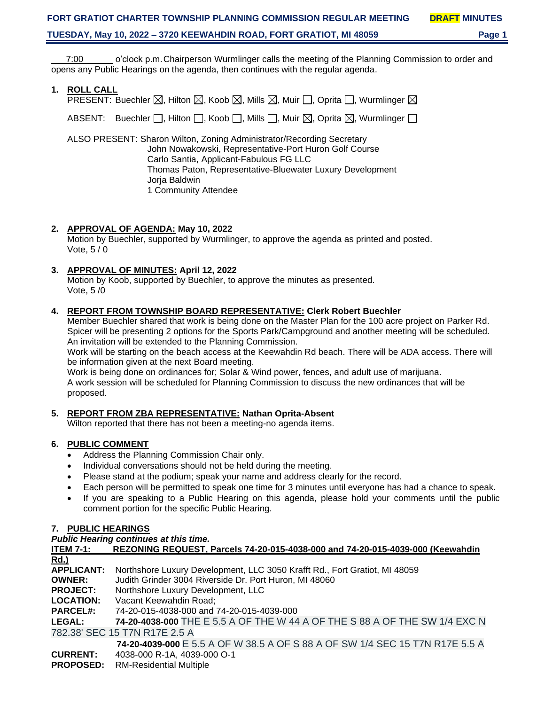\_\_\_7:00\_\_\_\_\_\_ o'clock p.m.Chairperson Wurmlinger calls the meeting of the Planning Commission to order and opens any Public Hearings on the agenda, then continues with the regular agenda.

**1. ROLL CALL**

| PRESENT: Buechler $\boxtimes$ , Hilton $\boxtimes$ , Koob $\boxtimes$ , Mills $\boxtimes$ , Muir $\Box$ , Oprita $\Box$ , Wurmlinger $\boxtimes$ |  |
|--------------------------------------------------------------------------------------------------------------------------------------------------|--|
| ABSENT: Buechler $\Box$ , Hilton $\Box$ , Koob $\Box$ , Mills $\Box$ , Muir $\boxtimes$ , Oprita $\boxtimes$ , Wurmlinger $\Box$                 |  |

ALSO PRESENT: Sharon Wilton, Zoning Administrator/Recording Secretary John Nowakowski, Representative-Port Huron Golf Course Carlo Santia, Applicant-Fabulous FG LLC Thomas Paton, Representative-Bluewater Luxury Development Jorja Baldwin 1 Community Attendee

# **2. APPROVAL OF AGENDA: May 10, 2022**

Motion by Buechler, supported by Wurmlinger, to approve the agenda as printed and posted. Vote, 5 / 0

# **3. APPROVAL OF MINUTES: April 12, 2022**

Motion by Koob, supported by Buechler, to approve the minutes as presented. Vote, 5 /0

# **4. REPORT FROM TOWNSHIP BOARD REPRESENTATIVE: Clerk Robert Buechler**

Member Buechler shared that work is being done on the Master Plan for the 100 acre project on Parker Rd. Spicer will be presenting 2 options for the Sports Park/Campground and another meeting will be scheduled. An invitation will be extended to the Planning Commission.

Work will be starting on the beach access at the Keewahdin Rd beach. There will be ADA access. There will be information given at the next Board meeting.

Work is being done on ordinances for; Solar & Wind power, fences, and adult use of marijuana. A work session will be scheduled for Planning Commission to discuss the new ordinances that will be proposed.

# **5. REPORT FROM ZBA REPRESENTATIVE: Nathan Oprita-Absent**

Wilton reported that there has not been a meeting-no agenda items.

# **6. PUBLIC COMMENT**

- Address the Planning Commission Chair only.
- Individual conversations should not be held during the meeting.
- Please stand at the podium; speak your name and address clearly for the record.
- Each person will be permitted to speak one time for 3 minutes until everyone has had a chance to speak.
- If you are speaking to a Public Hearing on this agenda, please hold your comments until the public comment portion for the specific Public Hearing.

### **7. PUBLIC HEARINGS**

| <b>Public Hearing continues at this time.</b> |  |  |  |
|-----------------------------------------------|--|--|--|
|-----------------------------------------------|--|--|--|

| <b>ITEM 7-1:</b>              | REZONING REQUEST, Parcels 74-20-015-4038-000 and 74-20-015-4039-000 (Keewahdin |  |
|-------------------------------|--------------------------------------------------------------------------------|--|
| <u>Rd.)</u>                   |                                                                                |  |
| <b>APPLICANT:</b>             | Northshore Luxury Development, LLC 3050 Krafft Rd., Fort Gratiot, MI 48059     |  |
| <b>OWNER:</b>                 | Judith Grinder 3004 Riverside Dr. Port Huron, MI 48060                         |  |
| <b>PROJECT:</b>               | Northshore Luxury Development, LLC                                             |  |
| <b>LOCATION:</b>              | Vacant Keewahdin Road;                                                         |  |
| <b>PARCEL#:</b>               | 74-20-015-4038-000 and 74-20-015-4039-000                                      |  |
| <b>LEGAL:</b>                 | 74-20-4038-000 THE E 5.5 A OF THE W 44 A OF THE S 88 A OF THE SW 1/4 EXC N     |  |
| 782.38' SEC 15 T7N R17E 2.5 A |                                                                                |  |
|                               | 74-20-4039-000 E 5.5 A OF W 38.5 A OF S 88 A OF SW 1/4 SEC 15 T7N R17E 5.5 A   |  |
| <b>CURRENT:</b>               | 4038-000 R-1A, 4039-000 O-1                                                    |  |

**PROPOSED:** RM-Residential Multiple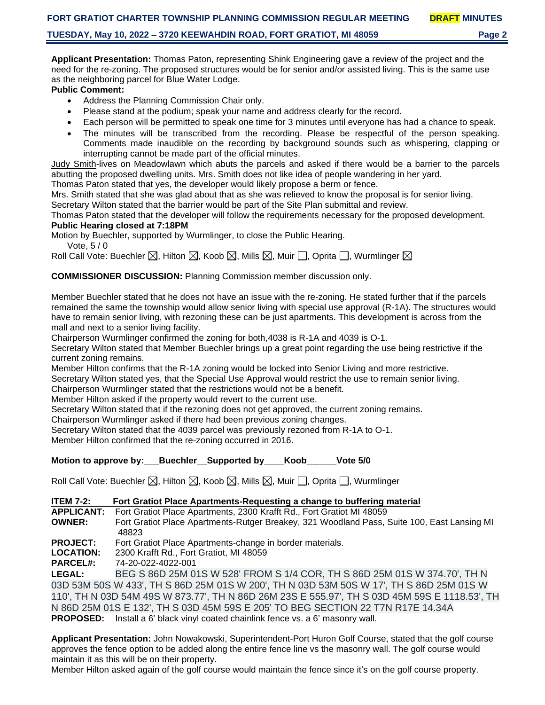**Applicant Presentation:** Thomas Paton, representing Shink Engineering gave a review of the project and the need for the re-zoning. The proposed structures would be for senior and/or assisted living. This is the same use as the neighboring parcel for Blue Water Lodge.

### **Public Comment:**

- Address the Planning Commission Chair only.
- Please stand at the podium; speak your name and address clearly for the record.
- Each person will be permitted to speak one time for 3 minutes until everyone has had a chance to speak.
- The minutes will be transcribed from the recording. Please be respectful of the person speaking. Comments made inaudible on the recording by background sounds such as whispering, clapping or interrupting cannot be made part of the official minutes.

Judy Smith-lives on Meadowlawn which abuts the parcels and asked if there would be a barrier to the parcels abutting the proposed dwelling units. Mrs. Smith does not like idea of people wandering in her yard.

Thomas Paton stated that yes, the developer would likely propose a berm or fence.

Mrs. Smith stated that she was glad about that as she was relieved to know the proposal is for senior living. Secretary Wilton stated that the barrier would be part of the Site Plan submittal and review.

Thomas Paton stated that the developer will follow the requirements necessary for the proposed development.

# **Public Hearing closed at 7:18PM**

Motion by Buechler, supported by Wurmlinger, to close the Public Hearing.

Vote, 5 / 0

Roll Call Vote: Buechler  $\boxtimes$ , Hilton  $\boxtimes$ , Koob  $\boxtimes$ , Mills  $\boxtimes$ , Muir  $\Box$ , Oprita  $\Box$ , Wurmlinger  $\boxtimes$ 

**COMMISSIONER DISCUSSION:** Planning Commission member discussion only.

Member Buechler stated that he does not have an issue with the re-zoning. He stated further that if the parcels remained the same the township would allow senior living with special use approval (R-1A). The structures would have to remain senior living, with rezoning these can be just apartments. This development is across from the mall and next to a senior living facility.

Chairperson Wurmlinger confirmed the zoning for both,4038 is R-1A and 4039 is O-1.

Secretary Wilton stated that Member Buechler brings up a great point regarding the use being restrictive if the current zoning remains.

Member Hilton confirms that the R-1A zoning would be locked into Senior Living and more restrictive.

Secretary Wilton stated yes, that the Special Use Approval would restrict the use to remain senior living.

Chairperson Wurmlinger stated that the restrictions would not be a benefit.

Member Hilton asked if the property would revert to the current use.

Secretary Wilton stated that if the rezoning does not get approved, the current zoning remains.

Chairperson Wurmlinger asked if there had been previous zoning changes.

Secretary Wilton stated that the 4039 parcel was previously rezoned from R-1A to O-1.

Member Hilton confirmed that the re-zoning occurred in 2016.

### **Motion to approve by: Buechler** Supported by Koob Vote 5/0

Roll Call Vote: Buechler  $\boxtimes$ , Hilton  $\boxtimes$ , Koob  $\boxtimes$ , Mills  $\boxtimes$ , Muir  $\Box$ , Oprita  $\Box$ , Wurmlinger

| <b>ITEM 7-2:</b>  | Fort Gratiot Place Apartments-Requesting a change to buffering material                              |
|-------------------|------------------------------------------------------------------------------------------------------|
| <b>APPLICANT:</b> | Fort Gratiot Place Apartments, 2300 Krafft Rd., Fort Gratiot MI 48059                                |
| <b>OWNER:</b>     | Fort Gratiot Place Apartments-Rutger Breakey, 321 Woodland Pass, Suite 100, East Lansing MI<br>48823 |
| <b>PROJECT:</b>   | Fort Gratiot Place Apartments-change in border materials.                                            |
| <b>LOCATION:</b>  | 2300 Krafft Rd., Fort Gratiot, MI 48059                                                              |
| <b>PARCEL#:</b>   | 74-20-022-4022-001                                                                                   |
| <b>LEGAL:</b>     | BEG S 86D 25M 01S W 528' FROM S 1/4 COR, TH S 86D 25M 01S W 374.70', TH N                            |
|                   | 03D 53M 50S W 433', TH S 86D 25M 01S W 200', TH N 03D 53M 50S W 17', TH S 86D 25M 01S W              |
|                   | 110', TH N 03D 54M 49S W 873.77', TH N 86D 26M 23S E 555.97', TH S 03D 45M 59S E 1118.53', TH        |
|                   | N 86D 25M 01S E 132', TH S 03D 45M 59S E 205' TO BEG SECTION 22 T7N R17E 14.34A                      |

**PROPOSED:** Install a 6' black vinyl coated chainlink fence vs. a 6' masonry wall.

**Applicant Presentation:** John Nowakowski, Superintendent-Port Huron Golf Course, stated that the golf course approves the fence option to be added along the entire fence line vs the masonry wall. The golf course would maintain it as this will be on their property.

Member Hilton asked again of the golf course would maintain the fence since it's on the golf course property.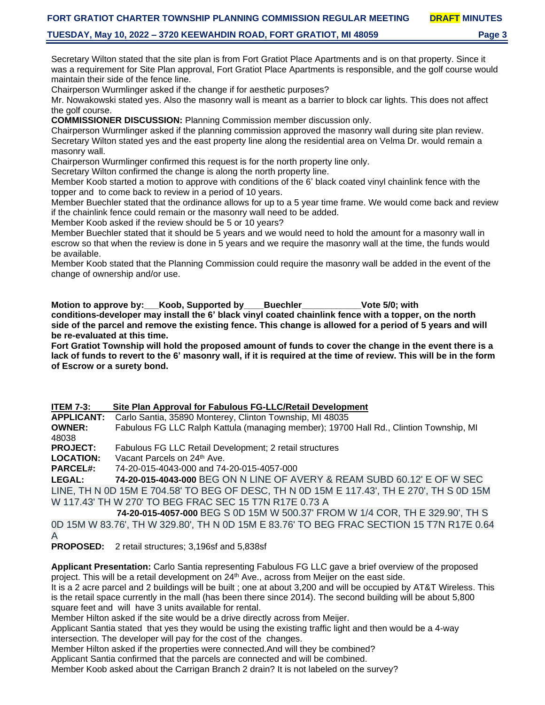#### **TUESDAY, May 10, 2022 – 3720 KEEWAHDIN ROAD, FORT GRATIOT, MI 48059 Page 3**

Secretary Wilton stated that the site plan is from Fort Gratiot Place Apartments and is on that property. Since it was a requirement for Site Plan approval, Fort Gratiot Place Apartments is responsible, and the golf course would maintain their side of the fence line.

Chairperson Wurmlinger asked if the change if for aesthetic purposes?

Mr. Nowakowski stated yes. Also the masonry wall is meant as a barrier to block car lights. This does not affect the golf course.

**COMMISSIONER DISCUSSION:** Planning Commission member discussion only.

Chairperson Wurmlinger asked if the planning commission approved the masonry wall during site plan review. Secretary Wilton stated yes and the east property line along the residential area on Velma Dr. would remain a masonry wall.

Chairperson Wurmlinger confirmed this request is for the north property line only.

Secretary Wilton confirmed the change is along the north property line.

Member Koob started a motion to approve with conditions of the 6' black coated vinyl chainlink fence with the topper and to come back to review in a period of 10 years.

Member Buechler stated that the ordinance allows for up to a 5 year time frame. We would come back and review if the chainlink fence could remain or the masonry wall need to be added.

Member Koob asked if the review should be 5 or 10 years?

Member Buechler stated that it should be 5 years and we would need to hold the amount for a masonry wall in escrow so that when the review is done in 5 years and we require the masonry wall at the time, the funds would be available.

Member Koob stated that the Planning Commission could require the masonry wall be added in the event of the change of ownership and/or use.

**Motion to approve by:** Koob, Supported by Buechler **business** Vote 5/0; with **conditions-developer may install the 6' black vinyl coated chainlink fence with a topper, on the north side of the parcel and remove the existing fence. This change is allowed for a period of 5 years and will be re-evaluated at this time.**

**Fort Gratiot Township will hold the proposed amount of funds to cover the change in the event there is a lack of funds to revert to the 6' masonry wall, if it is required at the time of review. This will be in the form of Escrow or a surety bond.**

**ITEM 7-3: Site Plan Approval for Fabulous FG-LLC/Retail Development APPLICANT:** Carlo Santia, 35890 Monterey, Clinton Township, MI 48035 **OWNER:** Fabulous FG LLC Ralph Kattula (managing member); 19700 Hall Rd., Clintion Township, MI 48038 **PROJECT:** Fabulous FG LLC Retail Development; 2 retail structures LOCATION: Vacant Parcels on 24<sup>th</sup> Ave. **PARCEL#:** 74-20-015-4043-000 and 74-20-015-4057-000 **LEGAL: 74-20-015-4043-000** BEG ON N LINE OF AVERY & REAM SUBD 60.12' E OF W SEC

LINE, TH N 0D 15M E 704.58' TO BEG OF DESC, TH N 0D 15M E 117.43', TH E 270', TH S 0D 15M W 117.43' TH W 270' TO BEG FRAC SEC 15 T7N R17E 0.73 A

**74-20-015-4057-000** BEG S 0D 15M W 500.37' FROM W 1/4 COR, TH E 329.90', TH S 0D 15M W 83.76', TH W 329.80', TH N 0D 15M E 83.76' TO BEG FRAC SECTION 15 T7N R17E 0.64 A

**PROPOSED:** 2 retail structures; 3,196sf and 5,838sf

**Applicant Presentation:** Carlo Santia representing Fabulous FG LLC gave a brief overview of the proposed project. This will be a retail development on 24<sup>th</sup> Ave., across from Meijer on the east side. It is a 2 acre parcel and 2 buildings will be built ; one at about 3,200 and will be occupied by AT&T Wireless. This

is the retail space currently in the mall (has been there since 2014). The second building will be about 5,800 square feet and will have 3 units available for rental.

Member Hilton asked if the site would be a drive directly across from Meijer.

Applicant Santia stated that yes they would be using the existing traffic light and then would be a 4-way intersection. The developer will pay for the cost of the changes.

Member Hilton asked if the properties were connected.And will they be combined?

Applicant Santia confirmed that the parcels are connected and will be combined.

Member Koob asked about the Carrigan Branch 2 drain? It is not labeled on the survey?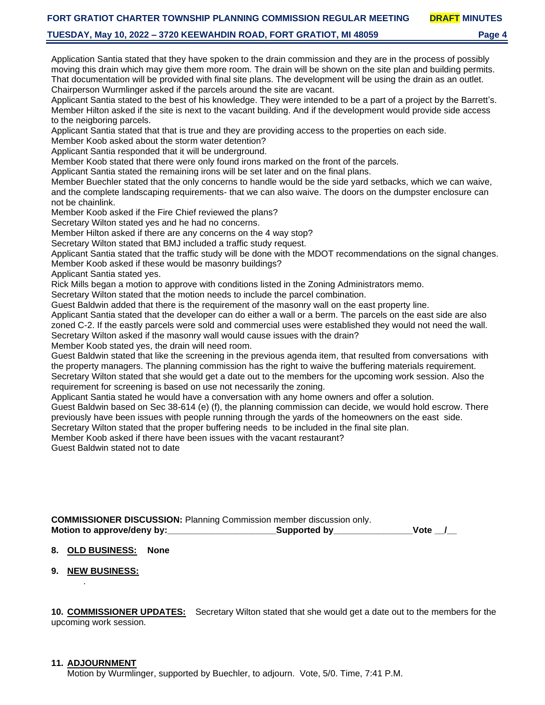#### **TUESDAY, May 10, 2022 – 3720 KEEWAHDIN ROAD, FORT GRATIOT, MI 48059 Page 4**

Application Santia stated that they have spoken to the drain commission and they are in the process of possibly moving this drain which may give them more room. The drain will be shown on the site plan and building permits. That documentation will be provided with final site plans. The development will be using the drain as an outlet. Chairperson Wurmlinger asked if the parcels around the site are vacant.

Applicant Santia stated to the best of his knowledge. They were intended to be a part of a project by the Barrett's. Member Hilton asked if the site is next to the vacant building. And if the development would provide side access to the neigboring parcels.

Applicant Santia stated that that is true and they are providing access to the properties on each side.

Member Koob asked about the storm water detention?

Applicant Santia responded that it will be underground.

Member Koob stated that there were only found irons marked on the front of the parcels.

Applicant Santia stated the remaining irons will be set later and on the final plans.

Member Buechler stated that the only concerns to handle would be the side yard setbacks, which we can waive, and the complete landscaping requirements- that we can also waive. The doors on the dumpster enclosure can not be chainlink.

Member Koob asked if the Fire Chief reviewed the plans?

Secretary Wilton stated yes and he had no concerns.

Member Hilton asked if there are any concerns on the 4 way stop?

Secretary Wilton stated that BMJ included a traffic study request.

Applicant Santia stated that the traffic study will be done with the MDOT recommendations on the signal changes. Member Koob asked if these would be masonry buildings?

Applicant Santia stated yes.

Rick Mills began a motion to approve with conditions listed in the Zoning Administrators memo.

Secretary Wilton stated that the motion needs to include the parcel combination.

Guest Baldwin added that there is the requirement of the masonry wall on the east property line.

Applicant Santia stated that the developer can do either a wall or a berm. The parcels on the east side are also zoned C-2. If the eastly parcels were sold and commercial uses were established they would not need the wall. Secretary Wilton asked if the masonry wall would cause issues with the drain?

Member Koob stated yes, the drain will need room.

Guest Baldwin stated that like the screening in the previous agenda item, that resulted from conversations with the property managers. The planning commission has the right to waive the buffering materials requirement. Secretary Wilton stated that she would get a date out to the members for the upcoming work session. Also the

requirement for screening is based on use not necessarily the zoning.

Applicant Santia stated he would have a conversation with any home owners and offer a solution.

Guest Baldwin based on Sec 38-614 (e) (f), the planning commission can decide, we would hold escrow. There previously have been issues with people running through the yards of the homeowners on the east side.

Secretary Wilton stated that the proper buffering needs to be included in the final site plan.

Member Koob asked if there have been issues with the vacant restaurant?

Guest Baldwin stated not to date

**COMMISSIONER DISCUSSION:** Planning Commission member discussion only. **Motion to approve/deny by:** The supported by the supported by the supported by the supported by the supported by the supported by the supported by the supported by the supported by the supported by the supported by the su

#### **8. OLD BUSINESS: None**

**9. NEW BUSINESS:**

.

**10. COMMISSIONER UPDATES:** Secretary Wilton stated that she would get a date out to the members for the upcoming work session.

#### **11. ADJOURNMENT**

Motion by Wurmlinger, supported by Buechler, to adjourn. Vote, 5/0. Time, 7:41 P.M.